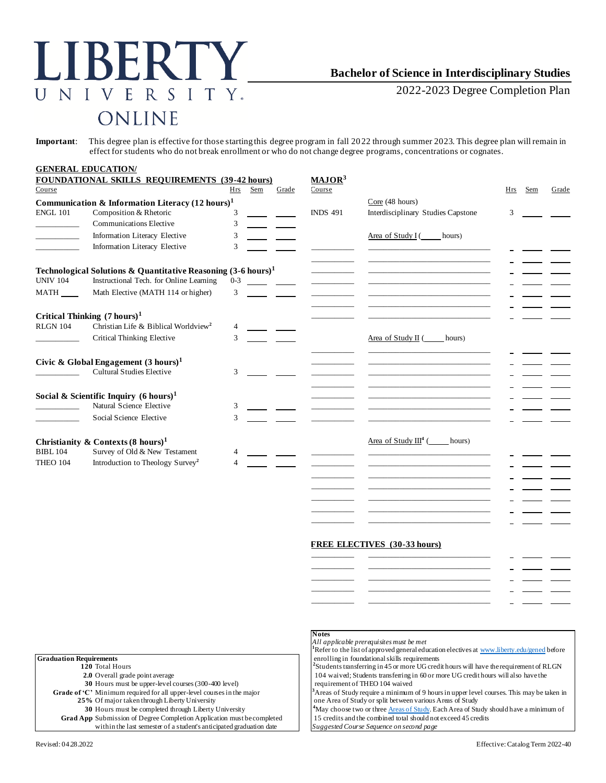# LIBERTY NIVERSITY.  $\overline{U}$ ONLINE

## **Bachelor of Science in Interdisciplinary Studies**

2022-2023 Degree Completion Plan

**Important**: This degree plan is effective for those starting this degree program in fall 2022 through summer 2023. This degree plan will remain in effect for students who do not break enrollment or who do not change degree programs, concentrations or cognates.

|                 | <b>GENERAL EDUCATION/</b>                                                |            |     |       |                    |                                                      |     |     |       |
|-----------------|--------------------------------------------------------------------------|------------|-----|-------|--------------------|------------------------------------------------------|-----|-----|-------|
|                 | FOUNDATIONAL SKILLS REQUIREMENTS (39-42 hours)                           |            |     |       | MAJOR <sup>3</sup> |                                                      |     |     |       |
| Course          |                                                                          | <b>Hrs</b> | Sem | Grade | Course             |                                                      | Hrs | Sem | Grade |
|                 | Communication & Information Literacy $(12 \text{ hours})^1$              |            |     |       |                    | Core (48 hours)                                      |     |     |       |
| <b>ENGL 101</b> | Composition & Rhetoric                                                   | 3          |     |       | <b>INDS 491</b>    | Interdisciplinary Studies Capstone                   | 3   |     |       |
|                 | <b>Communications Elective</b>                                           | 3          |     |       |                    |                                                      |     |     |       |
|                 | Information Literacy Elective                                            | 3          |     |       |                    | Area of Study I (<br>hours)                          |     |     |       |
|                 | Information Literacy Elective                                            | 3          |     |       |                    |                                                      |     |     |       |
|                 | Technological Solutions & Quantitative Reasoning $(3-6 \text{ hours})^1$ |            |     |       |                    |                                                      |     |     |       |
| <b>UNIV 104</b> | Instructional Tech. for Online Learning                                  | $0 - 3$    |     |       |                    |                                                      |     |     |       |
| <b>MATH</b>     | Math Elective (MATH 114 or higher)                                       | 3          |     |       |                    | <u> 1980 - Jan Barnett, fransk politik (d. 1980)</u> |     |     |       |
|                 | Critical Thinking $(7 \text{ hours})^1$                                  |            |     |       |                    |                                                      |     |     |       |
| <b>RLGN 104</b> | Christian Life & Biblical Worldview <sup>2</sup>                         | 4          |     |       |                    |                                                      |     |     |       |
|                 | Critical Thinking Elective                                               | 3          |     |       |                    | Area of Study II (<br>hours)                         |     |     |       |
|                 | Civic & Global Engagement $(3 \text{ hours})^1$                          |            |     |       |                    |                                                      |     |     |       |
|                 | <b>Cultural Studies Elective</b>                                         | 3          |     |       |                    |                                                      |     |     |       |
|                 | Social & Scientific Inquiry $(6 \text{ hours})^1$                        |            |     |       |                    |                                                      |     |     |       |
|                 | Natural Science Elective                                                 | 3          |     |       |                    |                                                      |     |     |       |
|                 | Social Science Elective                                                  | 3          |     |       |                    |                                                      |     |     |       |
|                 | Christianity & Contexts $(8 \text{ hours})^1$                            |            |     |       |                    | Area of Study $III4$ (<br>hours)                     |     |     |       |
| <b>BIBL 104</b> | Survey of Old & New Testament                                            | 4          |     |       |                    |                                                      |     |     |       |
| <b>THEO 104</b> | Introduction to Theology Survey <sup>2</sup>                             |            |     |       |                    |                                                      |     |     |       |
|                 |                                                                          |            |     |       |                    |                                                      |     |     |       |

#### **FREE ELECTIVES (30-33 hours)**

\_\_\_\_\_\_\_\_\_\_\_ \_\_\_\_\_\_\_\_\_\_\_\_\_\_\_\_\_\_\_\_\_\_\_\_\_\_\_\_\_\_\_ \_\_\_\_\_\_\_\_\_\_\_ \_\_\_\_\_\_\_\_\_\_\_\_\_\_\_\_\_\_\_\_\_\_\_\_\_\_\_\_\_\_\_ \_\_\_\_\_\_\_\_\_\_\_ \_\_\_\_\_\_\_\_\_\_\_\_\_\_\_\_\_\_\_\_\_\_\_\_\_\_\_\_\_\_\_

|  | - 1         |  |
|--|-------------|--|
|  | $\sim$      |  |
|  |             |  |
|  |             |  |
|  | <b>1999</b> |  |
|  |             |  |

|                                                                               | All applic<br>Refer to                |
|-------------------------------------------------------------------------------|---------------------------------------|
| raduation Requirements'                                                       | enrolling                             |
| 120 Total Hours                                                               | <sup>2</sup> Student:                 |
| 2.0 Overall grade point average                                               | $104$ wai                             |
| 30 Hours must be upper-level courses (300-400 level)                          | requiren                              |
| Grade of 'C' Minimum required for all upper-level courses in the major        | <sup>3</sup> Areas of                 |
| 25% Of major taken through Liberty University                                 | one Area                              |
| 30 Hours must be completed through Liberty University                         | <sup>4</sup> May cho                  |
| <b>Grad App</b> Submission of Degree Completion Application must be completed | 15 credit                             |
| ruithin tha lost somostar of a students antioinated areduation, data.         | $C_{\text{max}}$ and $C_{\text{max}}$ |

#### **Notes**

*All applicable prerequisites must be met*

the list of approved general education electives [at www.liberty.edu/gened](http://www.liberty.edu/gened) before in foundational skills requirements

s transferring in 45 or more UG credit hours will have the requirement of RLGN ved; Students transferring in 60 or more UG credit hours will also have the **30** Hours must be upper-level courses (300-400 level) requirement of THEO 104 waived

**Study require a minimum of 9 hours in upper level courses. This may be taken in** of Study or split between various Areas of Study

ose two or three **Areas of Study**. Each Area of Study should have a minimum of ts and the combined total should not exceed 45 credits

 $Suggested$  Course Sequence on second page